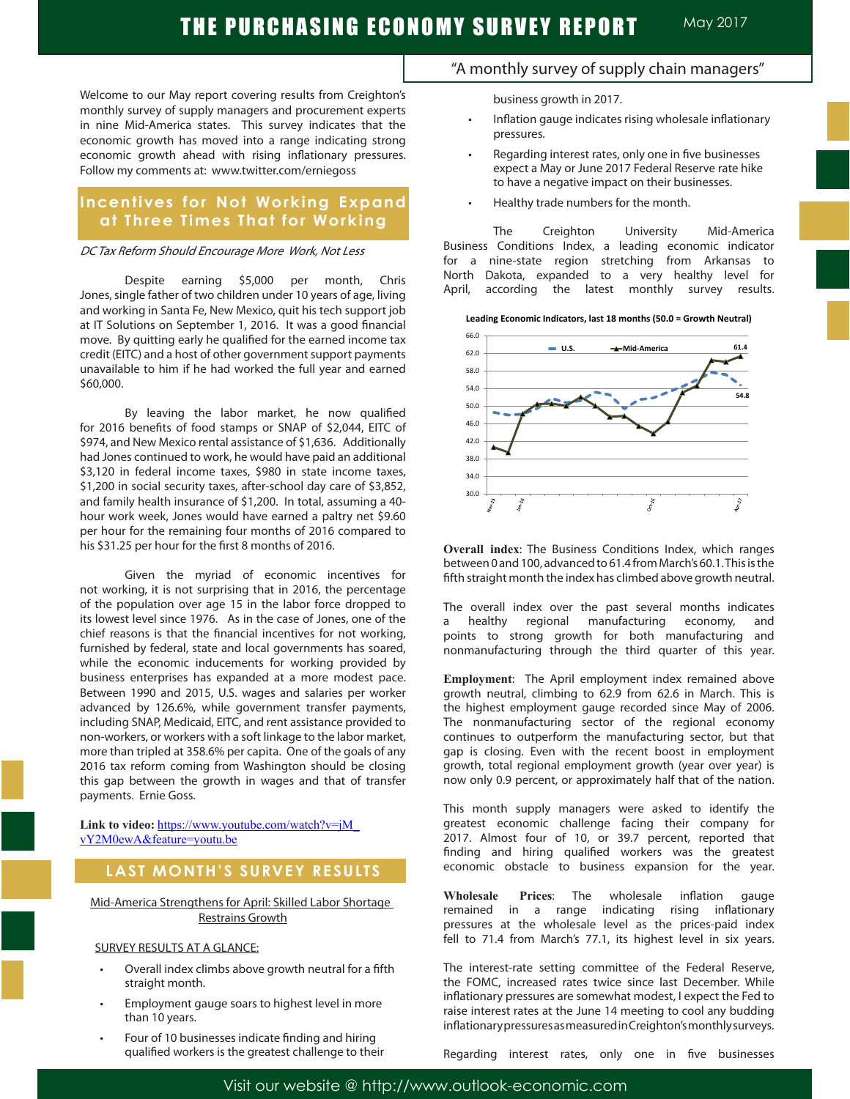Welcome to our May report covering results from Creighton's monthly survey of supply managers and procurement experts in nine Mid-America states. This survey indicates that the economic growth has moved into a range indicating strong economic growth ahead with rising inflationary pressures. Follow my comments at: www.twitter.com/erniegoss

### **Incentives for Not Working Expand at Three Times That for Working**

#### DC Tax Reform Should Encourage More Work, Not Less

Despite earning \$5,000 per month, Chris Jones, single father of two children under 10 years of age, living and working in Santa Fe, New Mexico, quit his tech support job at IT Solutions on September 1, 2016. It was a good financial move. By quitting early he qualified for the earned income tax credit (EITC) and a host of other government support payments unavailable to him if he had worked the full year and earned \$60,000.

By leaving the labor market, he now qualified for 2016 benefits of food stamps or SNAP of \$2,044, EITC of \$974, and New Mexico rental assistance of \$1,636. Additionally had Jones continued to work, he would have paid an additional \$3,120 in federal income taxes, \$980 in state income taxes, \$1,200 in social security taxes, after-school day care of \$3,852, and family health insurance of \$1,200. In total, assuming a 40 hour work week, Jones would have earned a paltry net \$9.60 per hour for the remaining four months of 2016 compared to his \$31.25 per hour for the first 8 months of 2016.

Given the myriad of economic incentives for not working, it is not surprising that in 2016, the percentage of the population over age 15 in the labor force dropped to its lowest level since 1976. As in the case of Jones, one of the chief reasons is that the financial incentives for not working, furnished by federal, state and local governments has soared, while the economic inducements for working provided by business enterprises has expanded at a more modest pace. Between 1990 and 2015, U.S. wages and salaries per worker advanced by 126.6%, while government transfer payments, including SNAP, Medicaid, EITC, and rent assistance provided to non-workers, or workers with a soft linkage to the labor market, more than tripled at 358.6% per capita. One of the goals of any 2016 tax reform coming from Washington should be closing this gap between the growth in wages and that of transfer payments. Ernie Goss.

Link to video: https://www.youtube.com/watch?v=jM\_ vY2M0ewA&feature=youtu.be

### **LAST MONTH'S SURVEY RESULTS**

Mid-America Strengthens for April: Skilled Labor Shortage Restrains Growth

#### SURVEY RESULTS AT A GLANCE:

- Overall index climbs above growth neutral for a fifth straight month.
- Employment gauge soars to highest level in more than 10 years.
- Four of 10 businesses indicate finding and hiring qualified workers is the greatest challenge to their

### "A monthly survey of supply chain managers"

business growth in 2017.

- Inflation gauge indicates rising wholesale inflationary pressures.
- Regarding interest rates, only one in five businesses expect a May or June 2017 Federal Reserve rate hike to have a negative impact on their businesses.
- Healthy trade numbers for the month.

The Creighton University Mid-America Business Conditions Index, a leading economic indicator for a nine-state region stretching from Arkansas to North Dakota, expanded to a very healthy level for April, according the latest monthly survey results.





**Overall index**: The Business Conditions Index, which ranges between 0 and 100, advanced to 61.4 from March's 60.1. This is the fifth straight month the index has climbed above growth neutral.

The overall index over the past several months indicates a healthy regional manufacturing economy, and points to strong growth for both manufacturing and nonmanufacturing through the third quarter of this year.

**Employment**: The April employment index remained above growth neutral, climbing to 62.9 from 62.6 in March. This is the highest employment gauge recorded since May of 2006. The nonmanufacturing sector of the regional economy continues to outperform the manufacturing sector, but that gap is closing. Even with the recent boost in employment growth, total regional employment growth (year over year) is now only 0.9 percent, or approximately half that of the nation.

This month supply managers were asked to identify the greatest economic challenge facing their company for 2017. Almost four of 10, or 39.7 percent, reported that finding and hiring qualified workers was the greatest economic obstacle to business expansion for the year.

**Wholesale Prices**: The wholesale inflation gauge remained in a range indicating rising inflationary pressures at the wholesale level as the prices-paid index fell to 71.4 from March's 77.1, its highest level in six years.

The interest-rate setting committee of the Federal Reserve, the FOMC, increased rates twice since last December. While inflationary pressures are somewhat modest, I expect the Fed to raise interest rates at the June 14 meeting to cool any budding inflationary pressures as measured in Creighton's monthly surveys.

Regarding interest rates, only one in five businesses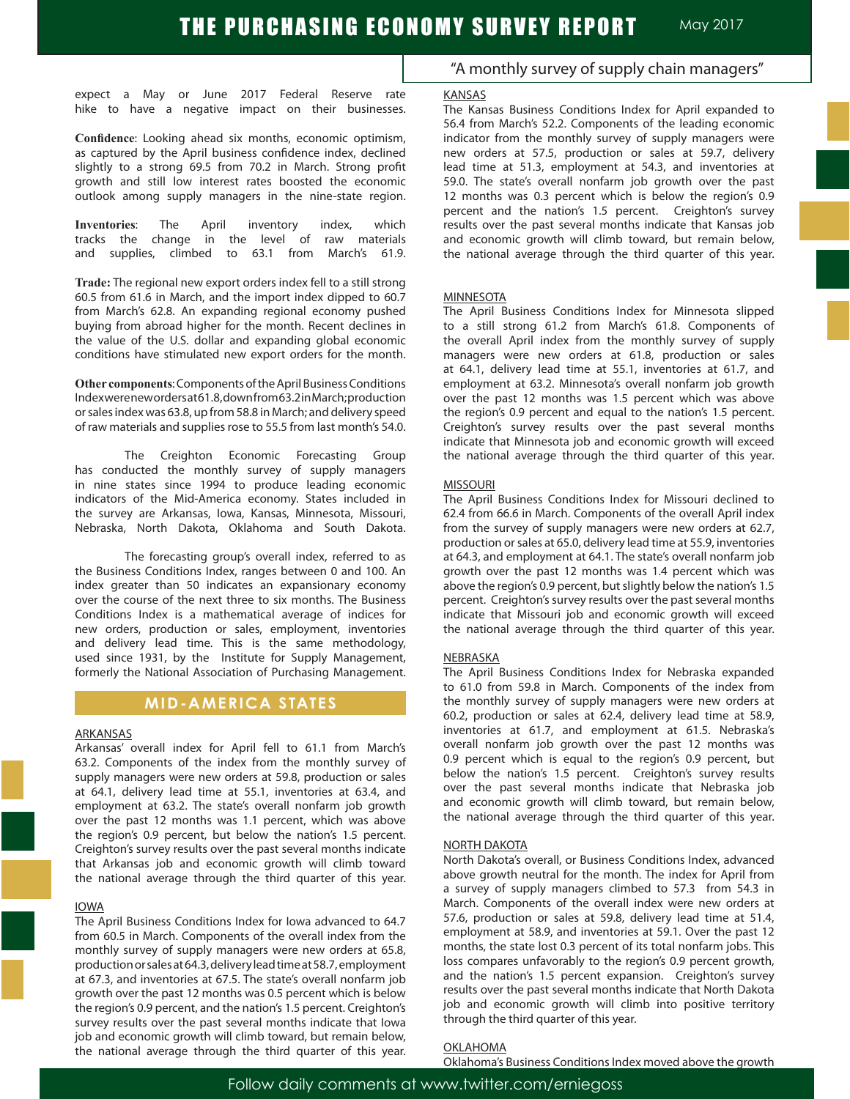expect a May or June 2017 Federal Reserve rate hike to have a negative impact on their businesses.

**Confidence**: Looking ahead six months, economic optimism, as captured by the April business confidence index, declined slightly to a strong 69.5 from 70.2 in March. Strong profit growth and still low interest rates boosted the economic outlook among supply managers in the nine-state region.

**Inventories**: The April inventory index, which tracks the change in the level of raw materials and supplies, climbed to 63.1 from March's 61.9.

**Trade:** The regional new export orders index fell to a still strong 60.5 from 61.6 in March, and the import index dipped to 60.7 from March's 62.8. An expanding regional economy pushed buying from abroad higher for the month. Recent declines in the value of the U.S. dollar and expanding global economic conditions have stimulated new export orders for the month.

**Other components**: Components of the April Business Conditions Index were new orders at 61.8, down from 63.2 in March; production or sales index was 63.8, up from 58.8 in March; and delivery speed of raw materials and supplies rose to 55.5 from last month's 54.0.

The Creighton Economic Forecasting Group has conducted the monthly survey of supply managers in nine states since 1994 to produce leading economic indicators of the Mid-America economy. States included in the survey are Arkansas, Iowa, Kansas, Minnesota, Missouri, Nebraska, North Dakota, Oklahoma and South Dakota.

The forecasting group's overall index, referred to as the Business Conditions Index, ranges between 0 and 100. An index greater than 50 indicates an expansionary economy over the course of the next three to six months. The Business Conditions Index is a mathematical average of indices for new orders, production or sales, employment, inventories and delivery lead time. This is the same methodology, used since 1931, by the Institute for Supply Management, formerly the National Association of Purchasing Management.

### **MID-AMERICA STATES**

#### **ARKANSAS**

Arkansas' overall index for April fell to 61.1 from March's 63.2. Components of the index from the monthly survey of supply managers were new orders at 59.8, production or sales at 64.1, delivery lead time at 55.1, inventories at 63.4, and employment at 63.2. The state's overall nonfarm job growth over the past 12 months was 1.1 percent, which was above the region's 0.9 percent, but below the nation's 1.5 percent. Creighton's survey results over the past several months indicate that Arkansas job and economic growth will climb toward the national average through the third quarter of this year.

#### IOWA

The April Business Conditions Index for Iowa advanced to 64.7 from 60.5 in March. Components of the overall index from the monthly survey of supply managers were new orders at 65.8, production or sales at 64.3, delivery lead time at 58.7, employment at 67.3, and inventories at 67.5. The state's overall nonfarm job growth over the past 12 months was 0.5 percent which is below the region's 0.9 percent, and the nation's 1.5 percent. Creighton's survey results over the past several months indicate that Iowa job and economic growth will climb toward, but remain below, the national average through the third quarter of this year.

### "A monthly survey of supply chain managers"

#### KANSAS

The Kansas Business Conditions Index for April expanded to 56.4 from March's 52.2. Components of the leading economic indicator from the monthly survey of supply managers were new orders at 57.5, production or sales at 59.7, delivery lead time at 51.3, employment at 54.3, and inventories at 59.0. The state's overall nonfarm job growth over the past 12 months was 0.3 percent which is below the region's 0.9 percent and the nation's 1.5 percent. Creighton's survey results over the past several months indicate that Kansas job and economic growth will climb toward, but remain below, the national average through the third quarter of this year.

#### **MINNESOTA**

The April Business Conditions Index for Minnesota slipped to a still strong 61.2 from March's 61.8. Components of the overall April index from the monthly survey of supply managers were new orders at 61.8, production or sales at 64.1, delivery lead time at 55.1, inventories at 61.7, and employment at 63.2. Minnesota's overall nonfarm job growth over the past 12 months was 1.5 percent which was above the region's 0.9 percent and equal to the nation's 1.5 percent. Creighton's survey results over the past several months indicate that Minnesota job and economic growth will exceed the national average through the third quarter of this year.

#### MISSOURI

The April Business Conditions Index for Missouri declined to 62.4 from 66.6 in March. Components of the overall April index from the survey of supply managers were new orders at 62.7, production or sales at 65.0, delivery lead time at 55.9, inventories at 64.3, and employment at 64.1. The state's overall nonfarm job growth over the past 12 months was 1.4 percent which was above the region's 0.9 percent, but slightly below the nation's 1.5 percent. Creighton's survey results over the past several months indicate that Missouri job and economic growth will exceed the national average through the third quarter of this year.

#### **NEBRASKA**

The April Business Conditions Index for Nebraska expanded to 61.0 from 59.8 in March. Components of the index from the monthly survey of supply managers were new orders at 60.2, production or sales at 62.4, delivery lead time at 58.9, inventories at 61.7, and employment at 61.5. Nebraska's overall nonfarm job growth over the past 12 months was 0.9 percent which is equal to the region's 0.9 percent, but below the nation's 1.5 percent. Creighton's survey results over the past several months indicate that Nebraska job and economic growth will climb toward, but remain below, the national average through the third quarter of this year.

#### NORTH DAKOTA

North Dakota's overall, or Business Conditions Index, advanced above growth neutral for the month. The index for April from a survey of supply managers climbed to 57.3 from 54.3 in March. Components of the overall index were new orders at 57.6, production or sales at 59.8, delivery lead time at 51.4, employment at 58.9, and inventories at 59.1. Over the past 12 months, the state lost 0.3 percent of its total nonfarm jobs. This loss compares unfavorably to the region's 0.9 percent growth, and the nation's 1.5 percent expansion. Creighton's survey results over the past several months indicate that North Dakota job and economic growth will climb into positive territory through the third quarter of this year.

#### OKLAHOMA

Oklahoma's Business Conditions Index moved above the growth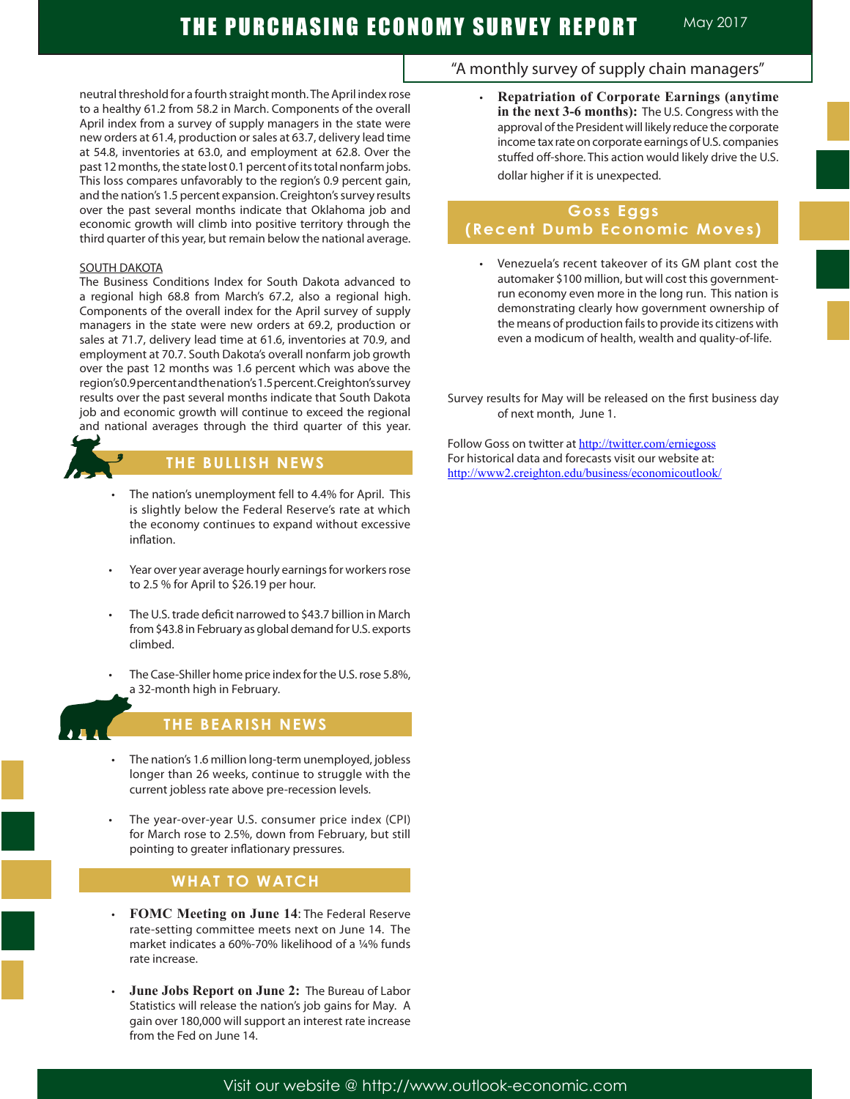neutral threshold for a fourth straight month. The April index rose to a healthy 61.2 from 58.2 in March. Components of the overall April index from a survey of supply managers in the state were new orders at 61.4, production or sales at 63.7, delivery lead time at 54.8, inventories at 63.0, and employment at 62.8. Over the past 12 months, the state lost 0.1 percent of its total nonfarm jobs. This loss compares unfavorably to the region's 0.9 percent gain, and the nation's 1.5 percent expansion. Creighton's survey results over the past several months indicate that Oklahoma job and economic growth will climb into positive territory through the third quarter of this year, but remain below the national average.

#### SOUTH DAKOTA

The Business Conditions Index for South Dakota advanced to a regional high 68.8 from March's 67.2, also a regional high. Components of the overall index for the April survey of supply managers in the state were new orders at 69.2, production or sales at 71.7, delivery lead time at 61.6, inventories at 70.9, and employment at 70.7. South Dakota's overall nonfarm job growth over the past 12 months was 1.6 percent which was above the region's 0.9 percent and the nation's 1.5 percent. Creighton's survey results over the past several months indicate that South Dakota job and economic growth will continue to exceed the regional and national averages through the third quarter of this year.

# **THE BULLISH NEWS**

- The nation's unemployment fell to 4.4% for April. This is slightly below the Federal Reserve's rate at which the economy continues to expand without excessive inflation.
- Year over year average hourly earnings for workers rose to 2.5 % for April to \$26.19 per hour.
- The U.S. trade deficit narrowed to \$43.7 billion in March from \$43.8 in February as global demand for U.S. exports climbed.
- The Case-Shiller home price index for the U.S. rose 5.8%, a 32-month high in February.



Ī

# **THE BEARISH NEWS**

- The nation's 1.6 million long-term unemployed, jobless longer than 26 weeks, continue to struggle with the current jobless rate above pre-recession levels.
- The year-over-year U.S. consumer price index (CPI) for March rose to 2.5%, down from February, but still pointing to greater inflationary pressures.

# **WHAT TO WATCH**

- **FOMC Meeting on June 14: The Federal Reserve** rate-setting committee meets next on June 14. The market indicates a 60%-70% likelihood of a ¼% funds rate increase.
- June Jobs Report on June 2: The Bureau of Labor Statistics will release the nation's job gains for May. A gain over 180,000 will support an interest rate increase from the Fed on June 14.

### "A monthly survey of supply chain managers"

**Repatriation of Corporate Earnings (anytime in the next 3-6 months):** The U.S. Congress with the approval of the President will likely reduce the corporate income tax rate on corporate earnings of U.S. companies stuffed off-shore. This action would likely drive the U.S. dollar higher if it is unexpected.

### **Goss Eggs (Recent Dumb Economic Moves)**

- Venezuela's recent takeover of its GM plant cost the automaker \$100 million, but will cost this governmentrun economy even more in the long run. This nation is demonstrating clearly how government ownership of the means of production fails to provide its citizens with even a modicum of health, wealth and quality-of-life.
- Survey results for May will be released on the first business day of next month, June 1.

Follow Goss on twitter at http://twitter.com/erniegoss For historical data and forecasts visit our website at: http://www2.creighton.edu/business/economicoutlook/